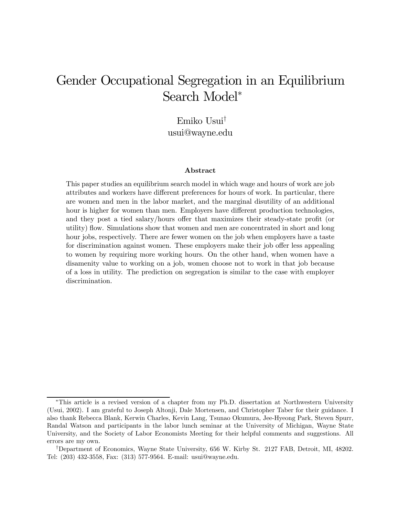# Gender Occupational Segregation in an Equilibrium Search Model<sup>∗</sup>

Emiko Usui† usui@wayne.edu

#### Abstract

This paper studies an equilibrium search model in which wage and hours of work are job attributes and workers have different preferences for hours of work. In particular, there are women and men in the labor market, and the marginal disutility of an additional hour is higher for women than men. Employers have different production technologies, and they post a tied salary/hours offer that maximizes their steady-state profit (or utility) flow. Simulations show that women and men are concentrated in short and long hour jobs, respectively. There are fewer women on the job when employers have a taste for discrimination against women. These employers make their job offer less appealing to women by requiring more working hours. On the other hand, when women have a disamenity value to working on a job, women choose not to work in that job because of a loss in utility. The prediction on segregation is similar to the case with employer discrimination.

<sup>∗</sup>This article is a revised version of a chapter from my Ph.D. dissertation at Northwestern University (Usui, 2002). I am grateful to Joseph Altonji, Dale Mortensen, and Christopher Taber for their guidance. I also thank Rebecca Blank, Kerwin Charles, Kevin Lang, Tsunao Okumura, Jee-Hyeong Park, Steven Spurr, Randal Watson and participants in the labor lunch seminar at the University of Michigan, Wayne State University, and the Society of Labor Economists Meeting for their helpful comments and suggestions. All errors are my own.

<sup>†</sup>Department of Economics, Wayne State University, 656 W. Kirby St. 2127 FAB, Detroit, MI, 48202. Tel: (203) 432-3558, Fax: (313) 577-9564. E-mail: usui@wayne.edu.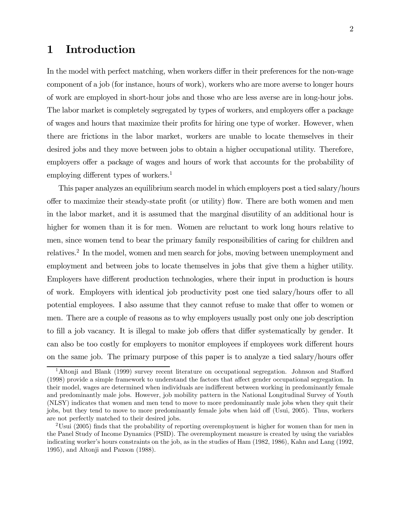## 1 Introduction

In the model with perfect matching, when workers differ in their preferences for the non-wage component of a job (for instance, hours of work), workers who are more averse to longer hours of work are employed in short-hour jobs and those who are less averse are in long-hour jobs. The labor market is completely segregated by types of workers, and employers offer a package of wages and hours that maximize their profits for hiring one type of worker. However, when there are frictions in the labor market, workers are unable to locate themselves in their desired jobs and they move between jobs to obtain a higher occupational utility. Therefore, employers offer a package of wages and hours of work that accounts for the probability of employing different types of workers.<sup>1</sup>

This paper analyzes an equilibrium search model in which employers post a tied salary/hours offer to maximize their steady-state profit (or utility) flow. There are both women and men in the labor market, and it is assumed that the marginal disutility of an additional hour is higher for women than it is for men. Women are reluctant to work long hours relative to men, since women tend to bear the primary family responsibilities of caring for children and relatives.2 In the model, women and men search for jobs, moving between unemployment and employment and between jobs to locate themselves in jobs that give them a higher utility. Employers have different production technologies, where their input in production is hours of work. Employers with identical job productivity post one tied salary/hours offer to all potential employees. I also assume that they cannot refuse to make that offer to women or men. There are a couple of reasons as to why employers usually post only one job description to fill a job vacancy. It is illegal to make job offers that differ systematically by gender. It can also be too costly for employers to monitor employees if employees work different hours on the same job. The primary purpose of this paper is to analyze a tied salary/hours offer

<sup>&</sup>lt;sup>1</sup>Altonji and Blank (1999) survey recent literature on occupational segregation. Johnson and Stafford (1998) provide a simple framework to understand the factors that affect gender occupational segregation. In their model, wages are determined when individuals are indifferent between working in predominantly female and predominantly male jobs. However, job mobility pattern in the National Longitudinal Survey of Youth (NLSY) indicates that women and men tend to move to more predominantly male jobs when they quit their jobs, but they tend to move to more predominantly female jobs when laid off (Usui, 2005). Thus, workers are not perfectly matched to their desired jobs.

<sup>&</sup>lt;sup>2</sup>Usui (2005) finds that the probability of reporting overemployment is higher for women than for men in the Panel Study of Income Dynamics (PSID). The overemployment measure is created by using the variables indicating worker's hours constraints on the job, as in the studies of Ham (1982, 1986), Kahn and Lang (1992, 1995), and Altonji and Paxson (1988).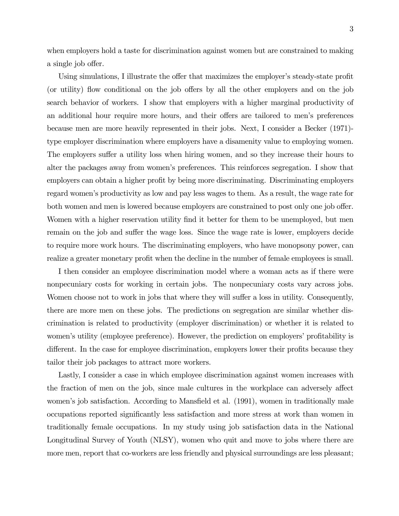when employers hold a taste for discrimination against women but are constrained to making a single job offer.

Using simulations, I illustrate the offer that maximizes the employer's steady-state profit (or utility) flow conditional on the job offers by all the other employers and on the job search behavior of workers. I show that employers with a higher marginal productivity of an additional hour require more hours, and their offers are tailored to men's preferences because men are more heavily represented in their jobs. Next, I consider a Becker (1971) type employer discrimination where employers have a disamenity value to employing women. The employers suffer a utility loss when hiring women, and so they increase their hours to alter the packages away from women's preferences. This reinforces segregation. I show that employers can obtain a higher profit by being more discriminating. Discriminating employers regard women's productivity as low and pay less wages to them. As a result, the wage rate for both women and men is lowered because employers are constrained to post only one job offer. Women with a higher reservation utility find it better for them to be unemployed, but men remain on the job and suffer the wage loss. Since the wage rate is lower, employers decide to require more work hours. The discriminating employers, who have monopsony power, can realize a greater monetary profit when the decline in the number of female employees is small.

I then consider an employee discrimination model where a woman acts as if there were nonpecuniary costs for working in certain jobs. The nonpecuniary costs vary across jobs. Women choose not to work in jobs that where they will suffer a loss in utility. Consequently, there are more men on these jobs. The predictions on segregation are similar whether discrimination is related to productivity (employer discrimination) or whether it is related to women's utility (employee preference). However, the prediction on employers' profitability is different. In the case for employee discrimination, employers lower their profits because they tailor their job packages to attract more workers.

Lastly, I consider a case in which employee discrimination against women increases with the fraction of men on the job, since male cultures in the workplace can adversely affect women's job satisfaction. According to Mansfield et al. (1991), women in traditionally male occupations reported significantly less satisfaction and more stress at work than women in traditionally female occupations. In my study using job satisfaction data in the National Longitudinal Survey of Youth (NLSY), women who quit and move to jobs where there are more men, report that co-workers are less friendly and physical surroundings are less pleasant;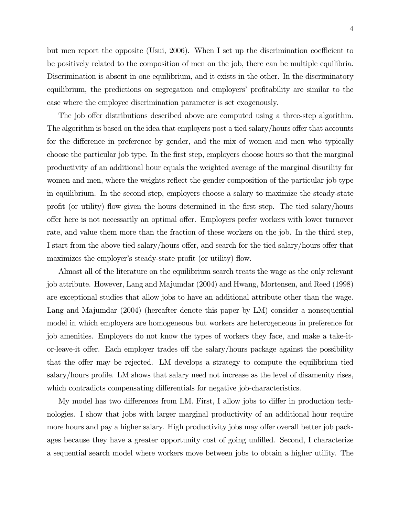but men report the opposite (Usui, 2006). When I set up the discrimination coefficient to be positively related to the composition of men on the job, there can be multiple equilibria. Discrimination is absent in one equilibrium, and it exists in the other. In the discriminatory equilibrium, the predictions on segregation and employers' profitability are similar to the case where the employee discrimination parameter is set exogenously.

The job offer distributions described above are computed using a three-step algorithm. The algorithm is based on the idea that employers post a tied salary/hours offer that accounts for the difference in preference by gender, and the mix of women and men who typically choose the particular job type. In the first step, employers choose hours so that the marginal productivity of an additional hour equals the weighted average of the marginal disutility for women and men, where the weights reflect the gender composition of the particular job type in equilibrium. In the second step, employers choose a salary to maximize the steady-state profit (or utility) flow given the hours determined in the first step. The tied salary/hours offer here is not necessarily an optimal offer. Employers prefer workers with lower turnover rate, and value them more than the fraction of these workers on the job. In the third step, I start from the above tied salary/hours offer, and search for the tied salary/hours offer that maximizes the employer's steady-state profit (or utility) flow.

Almost all of the literature on the equilibrium search treats the wage as the only relevant job attribute. However, Lang and Majumdar (2004) and Hwang, Mortensen, and Reed (1998) are exceptional studies that allow jobs to have an additional attribute other than the wage. Lang and Majumdar (2004) (hereafter denote this paper by LM) consider a nonsequential model in which employers are homogeneous but workers are heterogeneous in preference for job amenities. Employers do not know the types of workers they face, and make a take-itor-leave-it offer. Each employer trades off the salary/hours package against the possibility that the offer may be rejected. LM develops a strategy to compute the equilibrium tied salary/hours profile. LM shows that salary need not increase as the level of disamenity rises, which contradicts compensating differentials for negative job-characteristics.

My model has two differences from LM. First, I allow jobs to differ in production technologies. I show that jobs with larger marginal productivity of an additional hour require more hours and pay a higher salary. High productivity jobs may offer overall better job packages because they have a greater opportunity cost of going unfilled. Second, I characterize a sequential search model where workers move between jobs to obtain a higher utility. The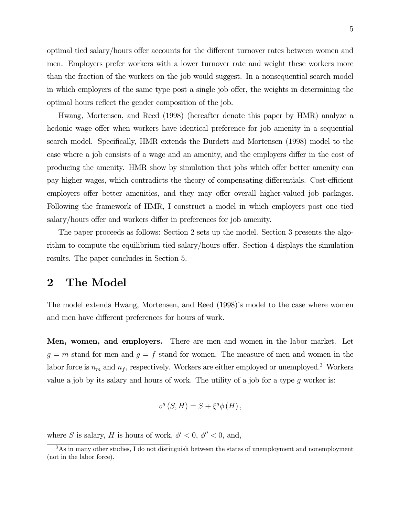optimal tied salary/hours offer accounts for the different turnover rates between women and men. Employers prefer workers with a lower turnover rate and weight these workers more than the fraction of the workers on the job would suggest. In a nonsequential search model in which employers of the same type post a single job offer, the weights in determining the optimal hours reflect the gender composition of the job.

Hwang, Mortensen, and Reed (1998) (hereafter denote this paper by HMR) analyze a hedonic wage offer when workers have identical preference for job amenity in a sequential search model. Specifically, HMR extends the Burdett and Mortensen (1998) model to the case where a job consists of a wage and an amenity, and the employers differ in the cost of producing the amenity. HMR show by simulation that jobs which offer better amenity can pay higher wages, which contradicts the theory of compensating differentials. Cost-efficient employers offer better amenities, and they may offer overall higher-valued job packages. Following the framework of HMR, I construct a model in which employers post one tied salary/hours offer and workers differ in preferences for job amenity.

The paper proceeds as follows: Section 2 sets up the model. Section 3 presents the algorithm to compute the equilibrium tied salary/hours offer. Section 4 displays the simulation results. The paper concludes in Section 5.

### 2 The Model

The model extends Hwang, Mortensen, and Reed (1998)'s model to the case where women and men have different preferences for hours of work.

Men, women, and employers. There are men and women in the labor market. Let  $g = m$  stand for men and  $g = f$  stand for women. The measure of men and women in the labor force is  $n_m$  and  $n_f$ , respectively. Workers are either employed or unemployed.<sup>3</sup> Workers value a job by its salary and hours of work. The utility of a job for a type  $g$  worker is:

$$
v^g(S, H) = S + \xi^g \phi(H),
$$

where S is salary, H is hours of work,  $\phi' < 0$ ,  $\phi'' < 0$ , and,

<sup>&</sup>lt;sup>3</sup>As in many other studies, I do not distinguish between the states of unemployment and nonemployment (not in the labor force).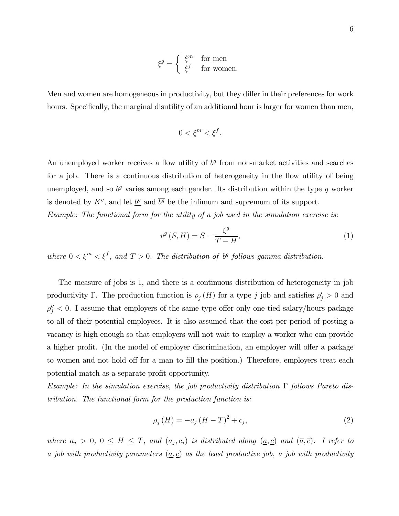$$
\xi^g = \begin{cases} \xi^m & \text{for men} \\ \xi^f & \text{for women.} \end{cases}
$$

Men and women are homogeneous in productivity, but they differ in their preferences for work hours. Specifically, the marginal disutility of an additional hour is larger for women than men,

$$
0 < \xi^m < \xi^f.
$$

An unemployed worker receives a flow utility of  $b<sup>g</sup>$  from non-market activities and searches for a job. There is a continuous distribution of heterogeneity in the flow utility of being unemployed, and so  $b<sup>g</sup>$  varies among each gender. Its distribution within the type g worker is denoted by  $K^g$ , and let  $b^g$  and  $\overline{b^g}$  be the infimum and supremum of its support. Example: The functional form for the utility of a job used in the simulation exercise is:

$$
v^g(S, H) = S - \frac{\xi^g}{T - H},\tag{1}
$$

where  $0 < \xi^m < \xi^f$ , and  $T > 0$ . The distribution of  $b^g$  follows gamma distribution.

The measure of jobs is 1, and there is a continuous distribution of heterogeneity in job productivity Γ. The production function is  $\rho_j(H)$  for a type j job and satisfies  $\rho'_j > 0$  and  $\rho_j'' < 0$ . I assume that employers of the same type offer only one tied salary/hours package to all of their potential employees. It is also assumed that the cost per period of posting a vacancy is high enough so that employers will not wait to employ a worker who can provide a higher profit. (In the model of employer discrimination, an employer will offer a package to women and not hold off for a man to fill the position.) Therefore, employers treat each potential match as a separate profit opportunity.

Example: In the simulation exercise, the job productivity distribution  $\Gamma$  follows Pareto distribution. The functional form for the production function is:

$$
\rho_j(H) = -a_j (H - T)^2 + c_j,
$$
\n(2)

where  $a_j > 0$ ,  $0 \leq H \leq T$ , and  $(a_j, c_j)$  is distributed along  $(a, c)$  and  $(\overline{a}, \overline{c})$ . I refer to a job with productivity parameters  $(a, c)$  as the least productive job, a job with productivity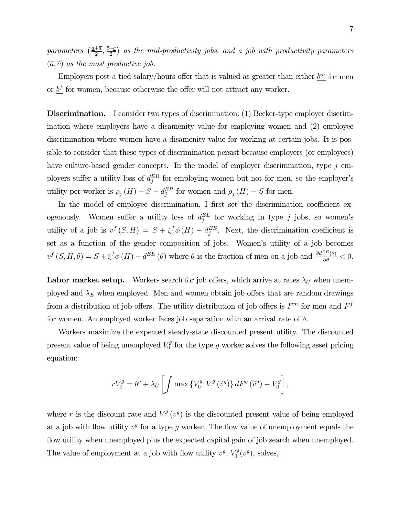parameters  $\left(\frac{a+\overline{a}}{2}, \frac{\overline{c}+\underline{c}}{2}\right)$  as the mid-productivity jobs, and a job with productivity parameters  $(\overline{a}, \overline{c})$  as the most productive job.

Employers post a tied salary/hours offer that is valued as greater than either  $\underline{b^m}$  for men or  $b^f$  for women, because otherwise the offer will not attract any worker.

Discrimination. I consider two types of discrimination: (1) Becker-type employer discrimination where employers have a disamenity value for employing women and (2) employee discrimination where women have a disamenity value for working at certain jobs. It is possible to consider that these types of discrimination persist because employers (or employees) have culture-based gender concepts. In the model of employer discrimination, type  $j$  employers suffer a utility loss of  $d_j^{ER}$  for employing women but not for men, so the employer's utility per worker is  $\rho_j(H) - S - d_j^{ER}$  for women and  $\rho_j(H) - S$  for men.

In the model of employee discrimination, I first set the discrimination coefficient exogenously. Women suffer a utility loss of  $d_j^{EE}$  for working in type j jobs, so women's utility of a job is  $v^f(S,H) = S + \xi^f \phi(H) - d_j^{EE}$ . Next, the discrimination coefficient is set as a function of the gender composition of jobs. Women's utility of a job becomes  $v^f(S, H, \theta) = S + \xi^f \phi(H) - d^{EE}(\theta)$  where  $\theta$  is the fraction of men on a job and  $\frac{\partial d^{EE}(\theta)}{\partial \theta} < 0$ .

**Labor market setup.** Workers search for job offers, which arrive at rates  $\lambda_U$  when unemployed and  $\lambda_E$  when employed. Men and women obtain job offers that are random drawings from a distribution of job offers. The utility distribution of job offers is  $F<sup>m</sup>$  for men and  $F<sup>f</sup>$ for women. An employed worker faces job separation with an arrival rate of  $\delta$ .

Workers maximize the expected steady-state discounted present utility. The discounted present value of being unemployed  $V_0^g$  for the type g worker solves the following asset pricing equation:

$$
rV_0^g = b^g + \lambda_U \left[ \int \max \left\{ V_0^g, V_1^g \left( \tilde{v}^g \right) \right\} dF^g \left( \tilde{v}^g \right) - V_0^g \right],
$$

where r is the discount rate and  $V_1^g(v^g)$  is the discounted present value of being employed at a job with flow utility  $v^g$  for a type g worker. The flow value of unemployment equals the flow utility when unemployed plus the expected capital gain of job search when unemployed. The value of employment at a job with flow utility  $v^g$ ,  $V_1^g(v^g)$ , solves,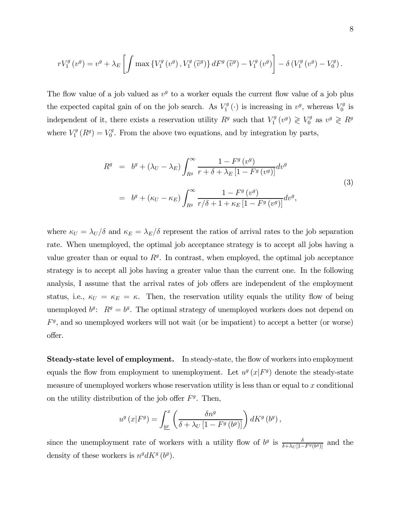$$
rV_1^g(v^g) = v^g + \lambda_E \left[ \int \max \left\{ V_1^g(v^g), V_1^g(\tilde{v}^g) \right\} dF^g(\tilde{v}^g) - V_1^g(v^g) \right] - \delta \left( V_1^g(v^g) - V_0^g \right).
$$

The flow value of a job valued as  $v<sup>g</sup>$  to a worker equals the current flow value of a job plus the expected capital gain of on the job search. As  $V_1^g(\cdot)$  is increasing in  $v^g$ , whereas  $V_0^g$  is independent of it, there exists a reservation utility  $R^g$  such that  $V_1^g(v^g) \geqslant V_0^g$  as  $v^g \geqslant R^g$ where  $V_1^g(R^g) = V_0^g$ . From the above two equations, and by integration by parts,

$$
R^{g} = b^{g} + (\lambda_{U} - \lambda_{E}) \int_{R^{g}}^{\infty} \frac{1 - F^{g}(v^{g})}{r + \delta + \lambda_{E} [1 - F^{g}(v^{g})]} dv^{g}
$$
  

$$
= b^{g} + (\kappa_{U} - \kappa_{E}) \int_{R^{g}}^{\infty} \frac{1 - F^{g}(v^{g})}{r/\delta + 1 + \kappa_{E} [1 - F^{g}(v^{g})]} dv^{g},
$$
(3)

where  $\kappa_U = \lambda_U/\delta$  and  $\kappa_E = \lambda_E/\delta$  represent the ratios of arrival rates to the job separation rate. When unemployed, the optimal job acceptance strategy is to accept all jobs having a value greater than or equal to  $R<sup>g</sup>$ . In contrast, when employed, the optimal job acceptance strategy is to accept all jobs having a greater value than the current one. In the following analysis, I assume that the arrival rates of job offers are independent of the employment status, i.e.,  $\kappa_U = \kappa_E = \kappa$ . Then, the reservation utility equals the utility flow of being unemployed  $b^g$ :  $R^g = b^g$ . The optimal strategy of unemployed workers does not depend on  $F<sup>g</sup>$ , and so unemployed workers will not wait (or be impatient) to accept a better (or worse) offer.

Steady-state level of employment. In steady-state, the flow of workers into employment equals the flow from employment to unemployment. Let  $u^g(x|F^g)$  denote the steady-state measure of unemployed workers whose reservation utility is less than or equal to  $x$  conditional on the utility distribution of the job offer  $F<sup>g</sup>$ . Then,

$$
u^{g}\left(x|F^{g}\right) = \int_{\underline{b^{g}}}^{x} \left(\frac{\delta n^{g}}{\delta + \lambda_{U}\left[1 - F^{g}\left(b^{g}\right)\right]}\right) dK^{g}\left(b^{g}\right),
$$

since the unemployment rate of workers with a utility flow of  $b^g$  is  $\frac{\delta}{\delta + \lambda_U [1 - F^g(b^g)]}$  and the density of these workers is  $n^g dK^g$  (b<sup>g</sup>).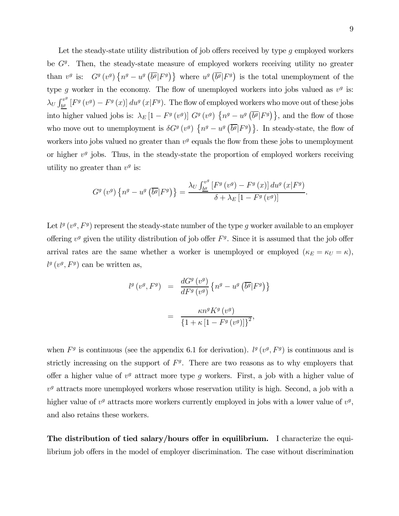Let the steady-state utility distribution of job offers received by type q employed workers be  $G<sup>g</sup>$ . Then, the steady-state measure of employed workers receiving utility no greater than  $v^g$  is:  $G^g(v^g)$   $\{n^g - u^g(\overline{b^g} | F^g)\}$  where  $u^g(\overline{b^g} | F^g)$  is the total unemployment of the type g worker in the economy. The flow of unemployed workers into jobs valued as  $v<sup>g</sup>$  is:  $\lambda_U \int_{b^g}^{v^g} \left[ F^g(v^g) - F^g(x) \right] du^g(x|F^g)$ . The flow of employed workers who move out of these jobs into higher valued jobs is:  $\lambda_E[1 - F^g(v^g)] G^g(v^g) \{n^g - u^g(\overline{b^g}|F^g)\}\$ , and the flow of those who move out to unemployment is  $\delta G^g(v^g)$   $\{n^g - u^g(\overline{b^g}|F^g)\}\$ . In steady-state, the flow of workers into jobs valued no greater than  $v<sup>g</sup>$  equals the flow from these jobs to unemployment or higher  $v<sup>g</sup>$  jobs. Thus, in the steady-state the proportion of employed workers receiving utility no greater than  $v^g$  is:

$$
G^{g}(v^{g})\left\{n^{g}-u^{g}\left(\overline{b^{g}}|F^{g}\right)\right\}=\frac{\lambda_{U}\int_{\underline{b^{g}}}^{v^{g}}\left[F^{g}\left(v^{g}\right)-F^{g}\left(x\right)\right]du^{g}\left(x|F^{g}\right)}{\delta+\lambda_{E}\left[1-F^{g}\left(v^{g}\right)\right]}.
$$

Let  $l^g(v^g, F^g)$  represent the steady-state number of the type g worker available to an employer offering  $v^g$  given the utility distribution of job offer  $F^g$ . Since it is assumed that the job offer arrival rates are the same whether a worker is unemployed or employed  $(\kappa_E = \kappa_U = \kappa)$ ,  $l^g(v^g, F^g)$  can be written as,

$$
l^{g}(v^{g}, F^{g}) = \frac{dG^{g}(v^{g})}{dF^{g}(v^{g})} \{n^{g} - u^{g}(\overline{b^{g}}|F^{g})\}
$$

$$
= \frac{\kappa n^{g} K^{g}(v^{g})}{\{1 + \kappa [1 - F^{g}(v^{g})]\}^{2}},
$$

when  $F<sup>g</sup>$  is continuous (see the appendix 6.1 for derivation).  $l<sup>g</sup>(v<sup>g</sup>, F<sup>g</sup>)$  is continuous and is strictly increasing on the support of  $F<sup>g</sup>$ . There are two reasons as to why employers that offer a higher value of  $v<sup>g</sup>$  attract more type g workers. First, a job with a higher value of  $v<sup>g</sup>$  attracts more unemployed workers whose reservation utility is high. Second, a job with a higher value of  $v^g$  attracts more workers currently employed in jobs with a lower value of  $v^g$ , and also retains these workers.

The distribution of tied salary/hours offer in equilibrium. I characterize the equilibrium job offers in the model of employer discrimination. The case without discrimination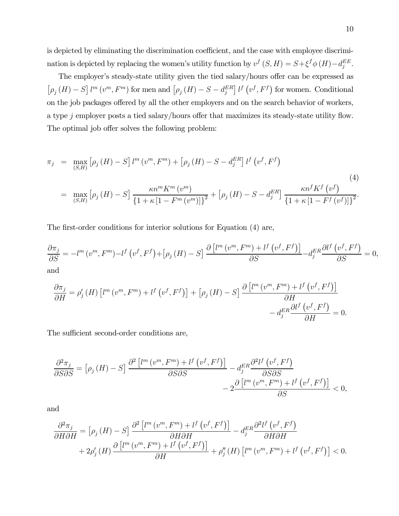is depicted by eliminating the discrimination coefficient, and the case with employee discrimination is depicted by replacing the women's utility function by  $v^f(S, H) = S + \xi^f \phi(H) - d_j^{EE}$ .

The employer's steady-state utility given the tied salary/hours offer can be expressed as  $[\rho_j(H) - S] l^m(v^m, F^m)$  for men and  $[\rho_j(H) - S - d_j^{ER}] l^f(v^f, F^f)$  for women. Conditional on the job packages offered by all the other employers and on the search behavior of workers, a type j employer posts a tied salary/hours offer that maximizes its steady-state utility flow. The optimal job offer solves the following problem:

$$
\pi_{j} = \max_{(S,H)} \left[ \rho_{j} \left( H \right) - S \right] l^{m} \left( v^{m}, F^{m} \right) + \left[ \rho_{j} \left( H \right) - S - d_{j}^{ER} \right] l^{f} \left( v^{f}, F^{f} \right)
$$
\n
$$
= \max_{(S,H)} \left[ \rho_{j} \left( H \right) - S \right] \frac{\kappa n^{m} K^{m} \left( v^{m} \right)}{\left\{ 1 + \kappa \left[ 1 - F^{m} \left( v^{m} \right) \right] \right\}^{2}} + \left[ \rho_{j} \left( H \right) - S - d_{j}^{ER} \right] \frac{\kappa n^{f} K^{f} \left( v^{f} \right)}{\left\{ 1 + \kappa \left[ 1 - F^{f} \left( v^{f} \right) \right] \right\}^{2}}.
$$
\n
$$
(4)
$$

The first-order conditions for interior solutions for Equation (4) are,

$$
\frac{\partial \pi_j}{\partial S} = -l^m (v^m, F^m) - l^f (v^f, F^f) + [\rho_j (H) - S] \frac{\partial [l^m (v^m, F^m) + l^f (v^f, F^f)]}{\partial S} - d_j^{ER} \frac{\partial l^f (v^f, F^f)}{\partial S} = 0,
$$
and

$$
\frac{\partial \pi_j}{\partial H} = \rho'_j(H) \left[ l^m(v^m, F^m) + l^f(v^f, F^f) \right] + \left[ \rho_j(H) - S \right] \frac{\partial \left[ l^m(v^m, F^m) + l^f(v^f, F^f) \right]}{\partial H} - d_j^{ER} \frac{\partial l^f(v^f, F^f)}{\partial H} = 0.
$$

The sufficient second-order conditions are,

$$
\frac{\partial^2 \pi_j}{\partial S \partial S} = \left[\rho_j \left(H\right) - S\right] \frac{\partial^2 \left[l^m \left(v^m, F^m\right) + l^f \left(v^f, F^f\right)\right]}{\partial S \partial S} - 2 \frac{\partial \left[l^m \left(v^m, F^m\right) + l^f \left(v^f, F^f\right)\right]}{\partial S} < 0,
$$

and

$$
\frac{\partial^2 \pi_j}{\partial H \partial H} = \left[ \rho_j \left( H \right) - S \right] \frac{\partial^2 \left[ l^m \left( v^m, F^m \right) + l^f \left( v^f, F^f \right) \right]}{\partial H \partial H} - d_j^{ER} \frac{\partial^2 l^f \left( v^f, F^f \right)}{\partial H \partial H} + 2 \rho'_j \left( H \right) \frac{\partial \left[ l^m \left( v^m, F^m \right) + l^f \left( v^f, F^f \right) \right]}{\partial H} + \rho''_j \left( H \right) \left[ l^m \left( v^m, F^m \right) + l^f \left( v^f, F^f \right) \right] < 0.
$$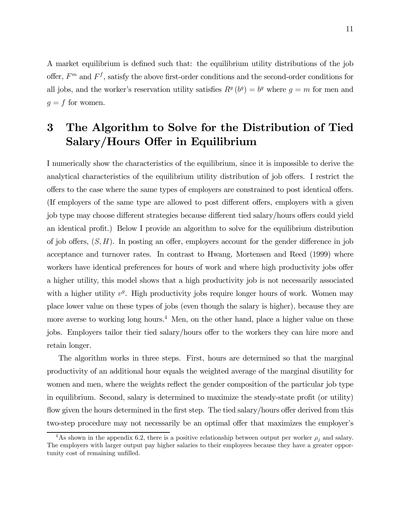A market equilibrium is defined such that: the equilibrium utility distributions of the job offer,  $F<sup>m</sup>$  and  $F<sup>f</sup>$ , satisfy the above first-order conditions and the second-order conditions for all jobs, and the worker's reservation utility satisfies  $R<sup>g</sup>(b<sup>g</sup>) = b<sup>g</sup>$  where  $q = m$  for men and  $g = f$  for women.

# 3 The Algorithm to Solve for the Distribution of Tied Salary/Hours Offer in Equilibrium

I numerically show the characteristics of the equilibrium, since it is impossible to derive the analytical characteristics of the equilibrium utility distribution of job offers. I restrict the offers to the case where the same types of employers are constrained to post identical offers. (If employers of the same type are allowed to post different offers, employers with a given job type may choose different strategies because different tied salary/hours offers could yield an identical profit.) Below I provide an algorithm to solve for the equilibrium distribution of job offers,  $(S, H)$ . In posting an offer, employers account for the gender difference in job acceptance and turnover rates. In contrast to Hwang, Mortensen and Reed (1999) where workers have identical preferences for hours of work and where high productivity jobs offer a higher utility, this model shows that a high productivity job is not necessarily associated with a higher utility  $v^g$ . High productivity jobs require longer hours of work. Women may place lower value on these types of jobs (even though the salary is higher), because they are more averse to working long hours.<sup>4</sup> Men, on the other hand, place a higher value on these jobs. Employers tailor their tied salary/hours offer to the workers they can hire more and retain longer.

The algorithm works in three steps. First, hours are determined so that the marginal productivity of an additional hour equals the weighted average of the marginal disutility for women and men, where the weights reflect the gender composition of the particular job type in equilibrium. Second, salary is determined to maximize the steady-state profit (or utility) flow given the hours determined in the first step. The tied salary/hours offer derived from this two-step procedure may not necessarily be an optimal offer that maximizes the employer's

 $^{4}$ As shown in the appendix 6.2, there is a positive relationship between output per worker  $\rho_j$  and salary. The employers with larger output pay higher salaries to their employees because they have a greater opportunity cost of remaining unfilled.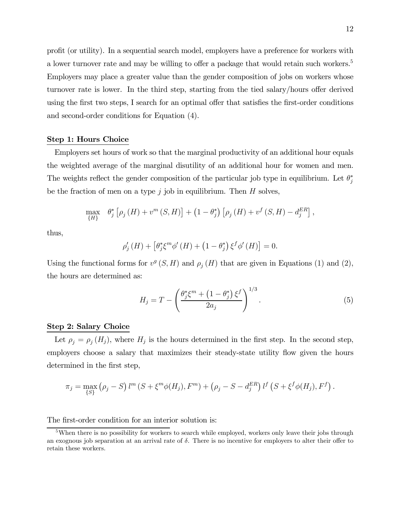profit (or utility). In a sequential search model, employers have a preference for workers with a lower turnover rate and may be willing to offer a package that would retain such workers.<sup>5</sup> Employers may place a greater value than the gender composition of jobs on workers whose turnover rate is lower. In the third step, starting from the tied salary/hours offer derived using the first two steps, I search for an optimal offer that satisfies the first-order conditions and second-order conditions for Equation (4).

#### Step 1: Hours Choice

Employers set hours of work so that the marginal productivity of an additional hour equals the weighted average of the marginal disutility of an additional hour for women and men. The weights reflect the gender composition of the particular job type in equilibrium. Let  $\theta_j^*$ be the fraction of men on a type  $j$  job in equilibrium. Then  $H$  solves,

$$
\max_{\{H\}} \theta_{j}^{*} [\rho_{j}(H) + v^{m}(S, H)] + (1 - \theta_{j}^{*}) [\rho_{j}(H) + v^{f}(S, H) - d_{j}^{ER}],
$$

thus,

$$
\rho'_{j}(H) + \left[\theta_{j}^{*}\xi^{m}\phi'(H) + \left(1 - \theta_{j}^{*}\right)\xi^{f}\phi'(H)\right] = 0.
$$

Using the functional forms for  $v^g(S, H)$  and  $\rho_i(H)$  that are given in Equations (1) and (2), the hours are determined as:

$$
H_j = T - \left(\frac{\theta_j^* \xi^m + \left(1 - \theta_j^*\right) \xi^f}{2a_j}\right)^{1/3}.
$$
\n
$$
(5)
$$

#### Step 2: Salary Choice

Let  $\rho_j = \rho_j(H_j)$ , where  $H_j$  is the hours determined in the first step. In the second step, employers choose a salary that maximizes their steady-state utility flow given the hours determined in the first step,

$$
\pi_j = \max_{\{S\}} (\rho_j - S) l^m (S + \xi^m \phi(H_j), F^m) + (\rho_j - S - d_j^{ER}) l^f (S + \xi^f \phi(H_j), F^f).
$$

The first-order condition for an interior solution is:

<sup>&</sup>lt;sup>5</sup>When there is no possibility for workers to search while employed, workers only leave their jobs through an exognous job separation at an arrival rate of  $\delta$ . There is no incentive for employers to alter their offer to retain these workers.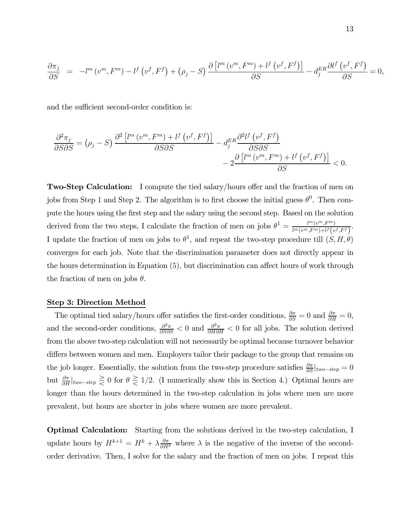$$
\frac{\partial \pi_j}{\partial S} = -l^m(v^m, F^m) - l^f(v^f, F^f) + (\rho_j - S) \frac{\partial [l^m(v^m, F^m) + l^f(v^f, F^f)]}{\partial S} - d_j^{ER} \frac{\partial l^f(v^f, F^f)}{\partial S} = 0,
$$

and the sufficient second-order condition is:

$$
\frac{\partial^2 \pi_j}{\partial S \partial S} = (\rho_j - S) \frac{\partial^2 \left[ l^m \left( v^m, F^m \right) + l^f \left( v^f, F^f \right) \right]}{\partial S \partial S} - 2 \frac{\partial \left[ l^m \left( v^m, F^m \right) + l^f \left( v^f, F^f \right) \right]}{\partial S} < 0.
$$

Two-Step Calculation: I compute the tied salary/hours offer and the fraction of men on jobs from Step 1 and Step 2. The algorithm is to first choose the initial guess  $\theta^0$ . Then compute the hours using the first step and the salary using the second step. Based on the solution derived from the two steps, I calculate the fraction of men on jobs  $\theta^1 = \frac{l^m(v^m,F^m)}{l^m(v^m,F^m)+l^f(v^m)}$  $\frac{l^m(v^m, F^m)}{l^m(v^m, F^m)+l^f\left(v^f, F^f\right)}.$ I update the fraction of men on jobs to  $\theta^1$ , and repeat the two-step procedure till  $(S, H, \theta)$ converges for each job. Note that the discrimination parameter does not directly appear in the hours determination in Equation (5), but discrimination can affect hours of work through the fraction of men on jobs  $\theta$ .

#### Step 3: Direction Method

The optimal tied salary/hours offer satisfies the first-order conditions,  $\frac{\partial \pi}{\partial S} = 0$  and  $\frac{\partial \pi}{\partial H} = 0$ , and the second-order conditions,  $\frac{\partial^2 \pi}{\partial S \partial S}$  < 0 and  $\frac{\partial^2 \pi}{\partial H \partial H}$  < 0 for all jobs. The solution derived from the above two-step calculation will not necessarily be optimal because turnover behavior differs between women and men. Employers tailor their package to the group that remains on the job longer. Essentially, the solution from the two-step procedure satisfies  $\frac{\partial \pi}{\partial S}|_{two-step} = 0$ but  $\frac{\partial \pi}{\partial H}|_{two-step} \geq 0$  for  $\theta \geq 1/2$ . (I numerically show this in Section 4.) Optimal hours are longer than the hours determined in the two-step calculation in jobs where men are more prevalent, but hours are shorter in jobs where women are more prevalent.

Optimal Calculation: Starting from the solutions derived in the two-step calculation, I update hours by  $H^{k+1} = H^k + \lambda \frac{\partial \pi}{\partial H^k}$  where  $\lambda$  is the negative of the inverse of the secondorder derivative. Then, I solve for the salary and the fraction of men on jobs. I repeat this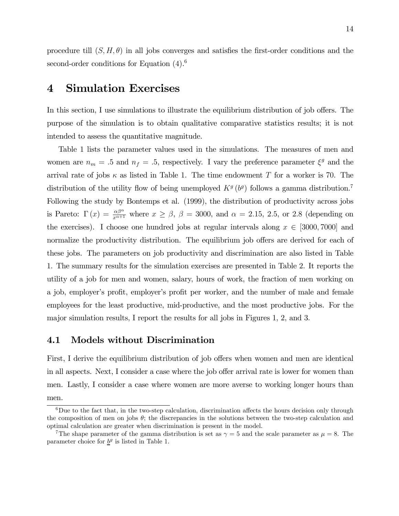procedure till  $(S, H, \theta)$  in all jobs converges and satisfies the first-order conditions and the second-order conditions for Equation  $(4)$ <sup>6</sup>

## 4 Simulation Exercises

In this section, I use simulations to illustrate the equilibrium distribution of job offers. The purpose of the simulation is to obtain qualitative comparative statistics results; it is not intended to assess the quantitative magnitude.

Table 1 lists the parameter values used in the simulations. The measures of men and women are  $n_m = .5$  and  $n_f = .5$ , respectively. I vary the preference parameter  $\xi^g$  and the arrival rate of jobs  $\kappa$  as listed in Table 1. The time endowment T for a worker is 70. The distribution of the utility flow of being unemployed  $K<sup>g</sup>(b<sup>g</sup>)$  follows a gamma distribution.<sup>7</sup> Following the study by Bontemps et al. (1999), the distribution of productivity across jobs is Pareto:  $\Gamma(x) = \frac{\alpha \beta^{\alpha}}{x^{\alpha+1}}$  where  $x \ge \beta$ ,  $\beta = 3000$ , and  $\alpha = 2.15$ , 2.5, or 2.8 (depending on the exercises). I choose one hundred jobs at regular intervals along  $x \in [3000, 7000]$  and normalize the productivity distribution. The equilibrium job offers are derived for each of these jobs. The parameters on job productivity and discrimination are also listed in Table 1. The summary results for the simulation exercises are presented in Table 2. It reports the utility of a job for men and women, salary, hours of work, the fraction of men working on a job, employer's profit, employer's profit per worker, and the number of male and female employees for the least productive, mid-productive, and the most productive jobs. For the major simulation results, I report the results for all jobs in Figures 1, 2, and 3.

#### 4.1 Models without Discrimination

First, I derive the equilibrium distribution of job offers when women and men are identical in all aspects. Next, I consider a case where the job offer arrival rate is lower for women than men. Lastly, I consider a case where women are more averse to working longer hours than men.

 $6$ Due to the fact that, in the two-step calculation, discrimination affects the hours decision only through the composition of men on jobs  $\theta$ ; the discrepancies in the solutions between the two-step calculation and optimal calculation are greater when discrimination is present in the model.

<sup>&</sup>lt;sup>7</sup>The shape parameter of the gamma distribution is set as  $\gamma = 5$  and the scale parameter as  $\mu = 8$ . The parameter choice for  $b^g$  is listed in Table 1.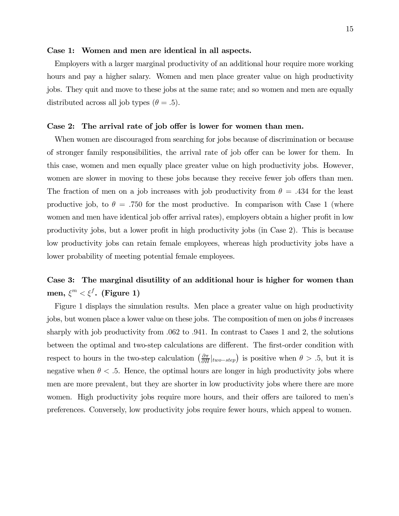#### Case 1: Women and men are identical in all aspects.

Employers with a larger marginal productivity of an additional hour require more working hours and pay a higher salary. Women and men place greater value on high productivity jobs. They quit and move to these jobs at the same rate; and so women and men are equally distributed across all job types  $(\theta = .5)$ .

#### Case 2: The arrival rate of job offer is lower for women than men.

When women are discouraged from searching for jobs because of discrimination or because of stronger family responsibilities, the arrival rate of job offer can be lower for them. In this case, women and men equally place greater value on high productivity jobs. However, women are slower in moving to these jobs because they receive fewer job offers than men. The fraction of men on a job increases with job productivity from  $\theta = .434$  for the least productive job, to  $\theta = .750$  for the most productive. In comparison with Case 1 (where women and men have identical job offer arrival rates), employers obtain a higher profit in low productivity jobs, but a lower profit in high productivity jobs (in Case 2). This is because low productivity jobs can retain female employees, whereas high productivity jobs have a lower probability of meeting potential female employees.

## Case 3: The marginal disutility of an additional hour is higher for women than men,  $\xi^m < \xi^f$ . (Figure 1)

Figure 1 displays the simulation results. Men place a greater value on high productivity jobs, but women place a lower value on these jobs. The composition of men on jobs  $\theta$  increases sharply with job productivity from .062 to .941. In contrast to Cases 1 and 2, the solutions between the optimal and two-step calculations are different. The first-order condition with respect to hours in the two-step calculation  $\left(\frac{\partial \pi}{\partial H}|_{two-step}\right)$  is positive when  $\theta > .5$ , but it is negative when  $\theta < 0.5$ . Hence, the optimal hours are longer in high productivity jobs where men are more prevalent, but they are shorter in low productivity jobs where there are more women. High productivity jobs require more hours, and their offers are tailored to men's preferences. Conversely, low productivity jobs require fewer hours, which appeal to women.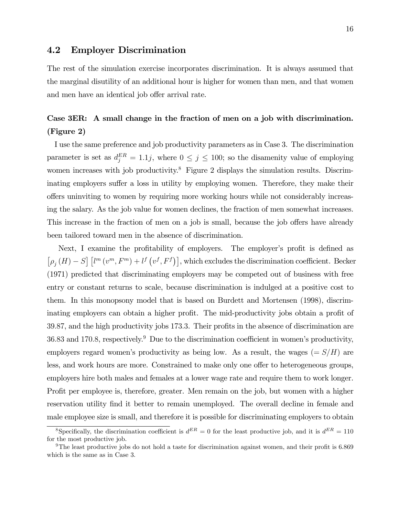### 4.2 Employer Discrimination

The rest of the simulation exercise incorporates discrimination. It is always assumed that the marginal disutility of an additional hour is higher for women than men, and that women and men have an identical job offer arrival rate.

## Case 3ER: A small change in the fraction of men on a job with discrimination. (Figure 2)

I use the same preference and job productivity parameters as in Case 3. The discrimination parameter is set as  $d_j^{ER} = 1.1j$ , where  $0 \le j \le 100$ ; so the disamenity value of employing women increases with job productivity.<sup>8</sup> Figure 2 displays the simulation results. Discriminating employers suffer a loss in utility by employing women. Therefore, they make their offers uninviting to women by requiring more working hours while not considerably increasing the salary. As the job value for women declines, the fraction of men somewhat increases. This increase in the fraction of men on a job is small, because the job offers have already been tailored toward men in the absence of discrimination.

Next, I examine the profitability of employers. The employer's profit is defined as  $[\rho_j(H) - S]$   $[l^m(v^m, F^m) + l^f(v^f, F^f)]$ , which excludes the discrimination coefficient. Becker (1971) predicted that discriminating employers may be competed out of business with free entry or constant returns to scale, because discrimination is indulged at a positive cost to them. In this monopsony model that is based on Burdett and Mortensen (1998), discriminating employers can obtain a higher profit. The mid-productivity jobs obtain a profit of 39.87, and the high productivity jobs 173.3. Their profits in the absence of discrimination are  $36.83$  and  $170.8$ , respectively.<sup>9</sup> Due to the discrimination coefficient in women's productivity, employers regard women's productivity as being low. As a result, the wages  $(= S/H)$  are less, and work hours are more. Constrained to make only one offer to heterogeneous groups, employers hire both males and females at a lower wage rate and require them to work longer. Profit per employee is, therefore, greater. Men remain on the job, but women with a higher reservation utility find it better to remain unemployed. The overall decline in female and male employee size is small, and therefore it is possible for discriminating employers to obtain

<sup>&</sup>lt;sup>8</sup>Specifically, the discrimination coefficient is  $d^{ER} = 0$  for the least productive job, and it is  $d^{ER} = 110$ for the most productive job.

<sup>9</sup>The least productive jobs do not hold a taste for discrimination against women, and their profit is 6.869 which is the same as in Case 3.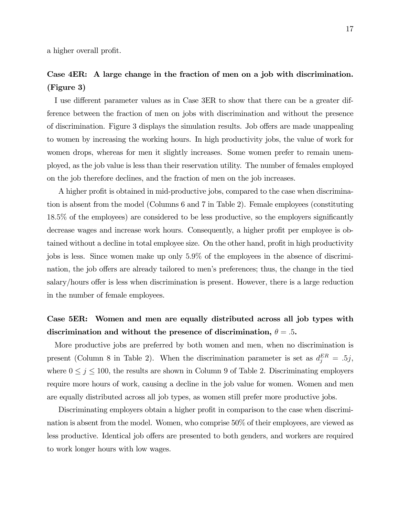a higher overall profit.

### Case 4ER: A large change in the fraction of men on a job with discrimination. (Figure 3)

I use different parameter values as in Case 3ER to show that there can be a greater difference between the fraction of men on jobs with discrimination and without the presence of discrimination. Figure 3 displays the simulation results. Job offers are made unappealing to women by increasing the working hours. In high productivity jobs, the value of work for women drops, whereas for men it slightly increases. Some women prefer to remain unemployed, as the job value is less than their reservation utility. The number of females employed on the job therefore declines, and the fraction of men on the job increases.

A higher profit is obtained in mid-productive jobs, compared to the case when discrimination is absent from the model (Columns 6 and 7 in Table 2). Female employees (constituting 18.5% of the employees) are considered to be less productive, so the employers significantly decrease wages and increase work hours. Consequently, a higher profit per employee is obtained without a decline in total employee size. On the other hand, profit in high productivity jobs is less. Since women make up only 5.9% of the employees in the absence of discrimination, the job offers are already tailored to men's preferences; thus, the change in the tied salary/hours offer is less when discrimination is present. However, there is a large reduction in the number of female employees.

### Case 5ER: Women and men are equally distributed across all job types with discrimination and without the presence of discrimination,  $\theta = 0.5$ .

More productive jobs are preferred by both women and men, when no discrimination is present (Column 8 in Table 2). When the discrimination parameter is set as  $d_j^{ER} = .5j$ , where  $0 \le j \le 100$ , the results are shown in Column 9 of Table 2. Discriminating employers require more hours of work, causing a decline in the job value for women. Women and men are equally distributed across all job types, as women still prefer more productive jobs.

Discriminating employers obtain a higher profit in comparison to the case when discrimination is absent from the model. Women, who comprise 50% of their employees, are viewed as less productive. Identical job offers are presented to both genders, and workers are required to work longer hours with low wages.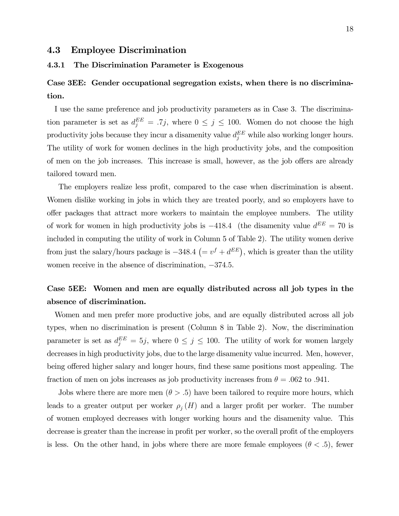### 4.3 Employee Discrimination

#### 4.3.1 The Discrimination Parameter is Exogenous

### Case 3EE: Gender occupational segregation exists, when there is no discrimination.

I use the same preference and job productivity parameters as in Case 3. The discrimination parameter is set as  $d_j^{EE} = .7j$ , where  $0 \le j \le 100$ . Women do not choose the high productivity jobs because they incur a disamenity value  $d_j^{EE}$  while also working longer hours. The utility of work for women declines in the high productivity jobs, and the composition of men on the job increases. This increase is small, however, as the job offers are already tailored toward men.

The employers realize less profit, compared to the case when discrimination is absent. Women dislike working in jobs in which they are treated poorly, and so employers have to offer packages that attract more workers to maintain the employee numbers. The utility of work for women in high productivity jobs is  $-418.4$  (the disamenity value  $d^{EE} = 70$  is included in computing the utility of work in Column 5 of Table 2). The utility women derive from just the salary/hours package is  $-348.4$  ( $= v<sup>f</sup> + d<sup>EE</sup>$ ), which is greater than the utility women receive in the absence of discrimination,  $-374.5$ .

### Case 5EE: Women and men are equally distributed across all job types in the absence of discrimination.

Women and men prefer more productive jobs, and are equally distributed across all job types, when no discrimination is present (Column 8 in Table 2). Now, the discrimination parameter is set as  $d_j^{EE} = 5j$ , where  $0 \le j \le 100$ . The utility of work for women largely decreases in high productivity jobs, due to the large disamenity value incurred. Men, however, being offered higher salary and longer hours, find these same positions most appealing. The fraction of men on jobs increases as job productivity increases from  $\theta = .062$  to .941.

Jobs where there are more men  $(\theta > .5)$  have been tailored to require more hours, which leads to a greater output per worker  $\rho_j(H)$  and a larger profit per worker. The number of women employed decreases with longer working hours and the disamenity value. This decrease is greater than the increase in profit per worker, so the overall profit of the employers is less. On the other hand, in jobs where there are more female employees ( $\theta$  < .5), fewer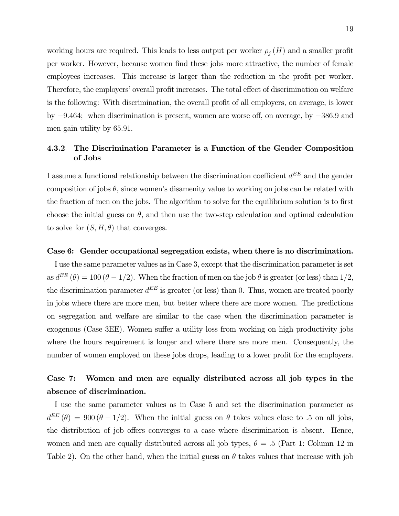working hours are required. This leads to less output per worker  $\rho_j(H)$  and a smaller profit per worker. However, because women find these jobs more attractive, the number of female employees increases. This increase is larger than the reduction in the profit per worker. Therefore, the employers' overall profit increases. The total effect of discrimination on welfare is the following: With discrimination, the overall profit of all employers, on average, is lower by −9.464; when discrimination is present, women are worse off, on average, by −386.9 and men gain utility by 65.91.

### 4.3.2 The Discrimination Parameter is a Function of the Gender Composition of Jobs

I assume a functional relationship between the discrimination coefficient  $d^{EE}$  and the gender composition of jobs  $\theta$ , since women's disamenity value to working on jobs can be related with the fraction of men on the jobs. The algorithm to solve for the equilibrium solution is to first choose the initial guess on  $\theta$ , and then use the two-step calculation and optimal calculation to solve for  $(S, H, \theta)$  that converges.

#### Case 6: Gender occupational segregation exists, when there is no discrimination.

I use the same parameter values as in Case 3, except that the discrimination parameter is set as  $d^{EE}(\theta) = 100 (\theta - 1/2)$ . When the fraction of men on the job  $\theta$  is greater (or less) than 1/2, the discrimination parameter  $d^{EE}$  is greater (or less) than 0. Thus, women are treated poorly in jobs where there are more men, but better where there are more women. The predictions on segregation and welfare are similar to the case when the discrimination parameter is exogenous (Case 3EE). Women suffer a utility loss from working on high productivity jobs where the hours requirement is longer and where there are more men. Consequently, the number of women employed on these jobs drops, leading to a lower profit for the employers.

### Case 7: Women and men are equally distributed across all job types in the absence of discrimination.

I use the same parameter values as in Case 5 and set the discrimination parameter as  $d^{EE}(\theta) = 900 (\theta - 1/2)$ . When the initial guess on  $\theta$  takes values close to .5 on all jobs, the distribution of job offers converges to a case where discrimination is absent. Hence, women and men are equally distributed across all job types,  $\theta = .5$  (Part 1: Column 12 in Table 2). On the other hand, when the initial guess on  $\theta$  takes values that increase with job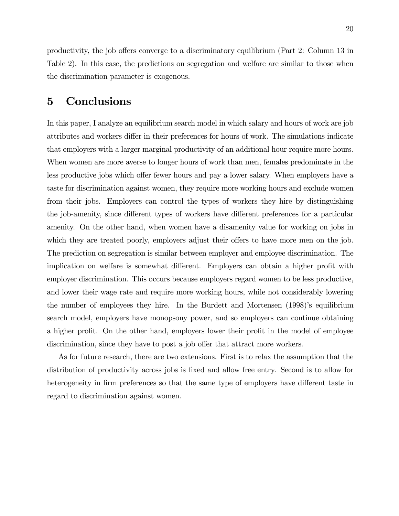productivity, the job offers converge to a discriminatory equilibrium (Part 2: Column 13 in Table 2). In this case, the predictions on segregation and welfare are similar to those when the discrimination parameter is exogenous.

# 5 Conclusions

In this paper, I analyze an equilibrium search model in which salary and hours of work are job attributes and workers differ in their preferences for hours of work. The simulations indicate that employers with a larger marginal productivity of an additional hour require more hours. When women are more averse to longer hours of work than men, females predominate in the less productive jobs which offer fewer hours and pay a lower salary. When employers have a taste for discrimination against women, they require more working hours and exclude women from their jobs. Employers can control the types of workers they hire by distinguishing the job-amenity, since different types of workers have different preferences for a particular amenity. On the other hand, when women have a disamenity value for working on jobs in which they are treated poorly, employers adjust their offers to have more men on the job. The prediction on segregation is similar between employer and employee discrimination. The implication on welfare is somewhat different. Employers can obtain a higher profit with employer discrimination. This occurs because employers regard women to be less productive, and lower their wage rate and require more working hours, while not considerably lowering the number of employees they hire. In the Burdett and Mortensen (1998)'s equilibrium search model, employers have monopsony power, and so employers can continue obtaining a higher profit. On the other hand, employers lower their profit in the model of employee discrimination, since they have to post a job offer that attract more workers.

As for future research, there are two extensions. First is to relax the assumption that the distribution of productivity across jobs is fixed and allow free entry. Second is to allow for heterogeneity in firm preferences so that the same type of employers have different taste in regard to discrimination against women.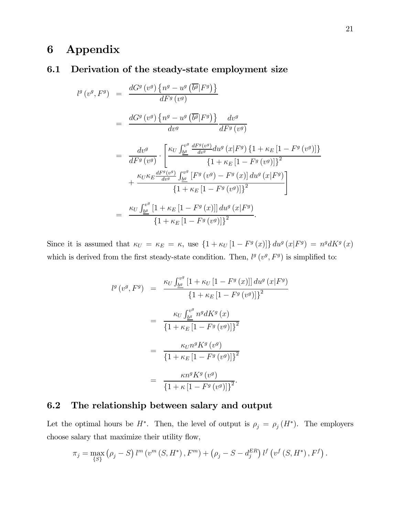# 6 Appendix

### 6.1 Derivation of the steady-state employment size

$$
l^{g}(v^{g},F^{g}) = \frac{dG^{g}(v^{g})\left\{n^{g} - u^{g}(\overline{b^{g}}|F^{g})\right\}}{dF^{g}(v^{g})}
$$
  
\n
$$
= \frac{dG^{g}(v^{g})\left\{n^{g} - u^{g}(\overline{b^{g}}|F^{g})\right\}}{dv^{g}}\frac{dv^{g}}{dF^{g}(v^{g})}
$$
  
\n
$$
= \frac{dv^{g}}{dF^{g}(v^{g})} \cdot \left[\frac{\kappa_{U}\int_{\underline{b^{g}}}^{v^{g}}\frac{dF^{g}(v^{g})}{dv^{g}}du^{g}(x|F^{g})\left\{1 + \kappa_{E}\left[1 - F^{g}(v^{g})\right]\right\}}{\left\{1 + \kappa_{E}\left[1 - F^{g}(v^{g})\right]\right\}^{2}}
$$
  
\n
$$
+ \frac{\kappa_{U}\kappa_{E}\frac{dF^{g}(v^{g})}{dv^{g}}\int_{\underline{b^{g}}}\left[F^{g}(v^{g}) - F^{g}(x)\right]du^{g}(x|F^{g})}{\left\{1 + \kappa_{E}\left[1 - F^{g}(v^{g})\right]\right\}^{2}}
$$
  
\n
$$
= \frac{\kappa_{U}\int_{\underline{b^{g}}}^{v^{g}}\left[1 + \kappa_{E}\left[1 - F^{g}(x)\right]\right]du^{g}(x|F^{g})}{\left\{1 + \kappa_{E}\left[1 - F^{g}(v^{g})\right]\right\}^{2}}.
$$

Since it is assumed that  $\kappa_U = \kappa_E = \kappa$ , use  $\{1 + \kappa_U [1 - F^g(x)]\} du^g(x|F^g) = n^g dK^g(x)$ which is derived from the first steady-state condition. Then,  $l^g(v^g, F^g)$  is simplified to:

$$
l^{g}(v^{g}, F^{g}) = \frac{\kappa_{U} \int_{b^{g}}^{v^{g}} [1 + \kappa_{U} [1 - F^{g}(x)]] du^{g}(x|F^{g})}{\{1 + \kappa_{E} [1 - F^{g}(v^{g})]\}^{2}}
$$
  

$$
= \frac{\kappa_{U} \int_{b^{g}}^{v^{g}} n^{g} dK^{g}(x)}{\{1 + \kappa_{E} [1 - F^{g}(v^{g})]\}^{2}}
$$
  

$$
= \frac{\kappa_{U} n^{g} K^{g}(v^{g})}{\{1 + \kappa_{E} [1 - F^{g}(v^{g})]\}^{2}}
$$
  

$$
= \frac{\kappa n^{g} K^{g}(v^{g})}{\{1 + \kappa [1 - F^{g}(v^{g})]\}^{2}}.
$$

### 6.2 The relationship between salary and output

Let the optimal hours be  $H^*$ . Then, the level of output is  $\rho_j = \rho_j(H^*)$ . The employers choose salary that maximize their utility flow,

$$
\pi_j = \max_{\{S\}} (\rho_j - S) l^m (v^m (S, H^*), F^m) + (\rho_j - S - d_j^{ER}) l^f (v^f (S, H^*), F^f).
$$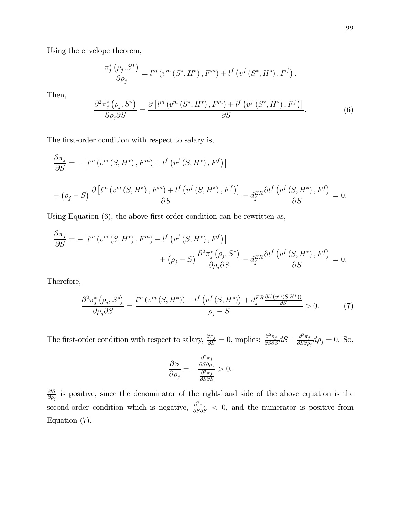Using the envelope theorem,

$$
\frac{\pi_j^* (\rho_j, S^*)}{\partial \rho_j} = l^m (v^m (S^*, H^*), F^m) + l^f (v^f (S^*, H^*), F^f).
$$

Then,

$$
\frac{\partial^2 \pi_j^* \left( \rho_j, S^* \right)}{\partial \rho_j \partial S} = \frac{\partial \left[ l^m \left( v^m \left( S^*, H^* \right), F^m \right) + l^f \left( v^f \left( S^*, H^* \right), F^f \right) \right]}{\partial S}.
$$
\n(6)

The first-order condition with respect to salary is,

$$
\frac{\partial \pi_j}{\partial S} = -\left[l^m(v^m(S, H^*), F^m) + l^f(v^f(S, H^*), F^f)\right]
$$
  
+ 
$$
\left(\rho_j - S\right) \frac{\partial \left[l^m(v^m(S, H^*), F^m) + l^f(v^f(S, H^*), F^f)\right]}{\partial S} - d_j^{ER} \frac{\partial l^f(v^f(S, H^*), F^f)}{\partial S} = 0.
$$

Using Equation (6), the above first-order condition can be rewritten as,

$$
\frac{\partial \pi_j}{\partial S} = -\left[l^m\left(v^m\left(S, H^*\right), F^m\right) + l^f\left(v^f\left(S, H^*\right), F^f\right)\right] + \left(\rho_j - S\right) \frac{\partial^2 \pi_j^*\left(\rho_j, S^*\right)}{\partial \rho_j \partial S} - d_j^{ER} \frac{\partial l^f\left(v^f\left(S, H^*\right), F^f\right)}{\partial S} = 0.
$$

Therefore,

$$
\frac{\partial^2 \pi_j^* \left(\rho_j, S^* \right)}{\partial \rho_j \partial S} = \frac{l^m \left(v^m \left(S, H^* \right)\right) + l^f \left(v^f \left(S, H^* \right)\right) + d_j^{ER} \frac{\partial l^f \left(v^m \left(S, H^* \right)\right)}{\partial S}}{\rho_j - S} > 0. \tag{7}
$$

The first-order condition with respect to salary,  $\frac{\partial \pi_j}{\partial S} = 0$ , implies:  $\frac{\partial^2 \pi_j}{\partial S \partial S} dS + \frac{\partial^2 \pi_j}{\partial S \partial \rho_j} d\rho_j = 0$ . So,

$$
\frac{\partial S}{\partial \rho_j}=-\frac{\frac{\partial^2 \pi_j}{\partial S \partial \rho_j}}{\frac{\partial^2 \pi_j}{\partial S \partial S}}>0.
$$

∂S  $\frac{\partial S}{\partial \rho_j}$  is positive, since the denominator of the right-hand side of the above equation is the second-order condition which is negative,  $\frac{\partial^2 \pi_j}{\partial S \partial S}$  < 0, and the numerator is positive from Equation (7).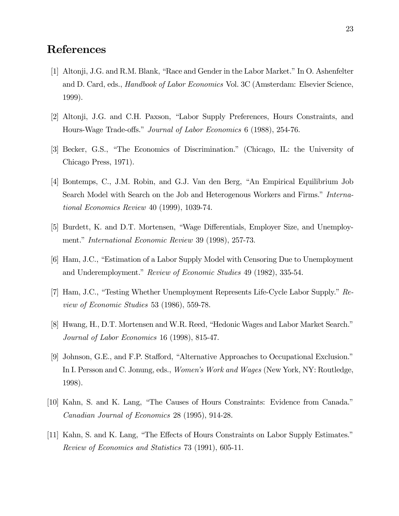# References

- [1] Altonji, J.G. and R.M. Blank, "Race and Gender in the Labor Market." In O. Ashenfelter and D. Card, eds., Handbook of Labor Economics Vol. 3C (Amsterdam: Elsevier Science, 1999).
- [2] Altonji, J.G. and C.H. Paxson, "Labor Supply Preferences, Hours Constraints, and Hours-Wage Trade-offs." Journal of Labor Economics 6 (1988), 254-76.
- [3] Becker, G.S., "The Economics of Discrimination." (Chicago, IL: the University of Chicago Press, 1971).
- [4] Bontemps, C., J.M. Robin, and G.J. Van den Berg, "An Empirical Equilibrium Job Search Model with Search on the Job and Heterogenous Workers and Firms." International Economics Review 40 (1999), 1039-74.
- [5] Burdett, K. and D.T. Mortensen, "Wage Differentials, Employer Size, and Unemployment." International Economic Review 39 (1998), 257-73.
- [6] Ham, J.C., "Estimation of a Labor Supply Model with Censoring Due to Unemployment and Underemployment." Review of Economic Studies 49 (1982), 335-54.
- [7] Ham, J.C., "Testing Whether Unemployment Represents Life-Cycle Labor Supply." Review of Economic Studies 53 (1986), 559-78.
- [8] Hwang, H., D.T. Mortensen and W.R. Reed, "Hedonic Wages and Labor Market Search." Journal of Labor Economics 16 (1998), 815-47.
- [9] Johnson, G.E., and F.P. Stafford, "Alternative Approaches to Occupational Exclusion." In I. Persson and C. Jonung, eds., *Women's Work and Wages* (New York, NY: Routledge, 1998).
- [10] Kahn, S. and K. Lang, "The Causes of Hours Constraints: Evidence from Canada." Canadian Journal of Economics 28 (1995), 914-28.
- [11] Kahn, S. and K. Lang, "The Effects of Hours Constraints on Labor Supply Estimates." Review of Economics and Statistics 73 (1991), 605-11.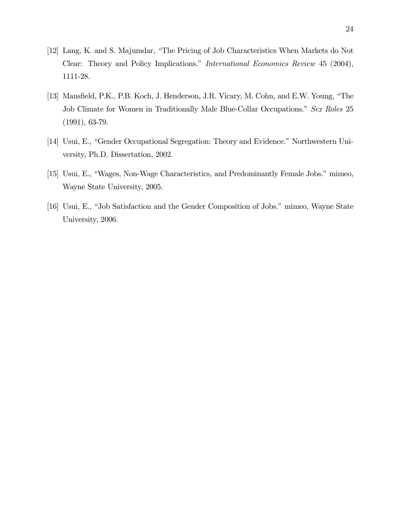- [12] Lang, K. and S. Majumdar, "The Pricing of Job Characteristics When Markets do Not Clear: Theory and Policy Implications." International Economics Review 45 (2004), 1111-28.
- [13] Mansfield, P.K., P.B. Koch, J. Henderson, J.R. Vicary, M. Cohn, and E.W. Young, "The Job Climate for Women in Traditionally Male Blue-Collar Occupations." Sex Roles 25 (1991), 63-79.
- [14] Usui, E., "Gender Occupational Segregation: Theory and Evidence." Northwestern University, Ph.D. Dissertation, 2002.
- [15] Usui, E., "Wages, Non-Wage Characteristics, and Predominantly Female Jobs." mimeo, Wayne State University, 2005.
- [16] Usui, E., "Job Satisfaction and the Gender Composition of Jobs." mimeo, Wayne State University, 2006.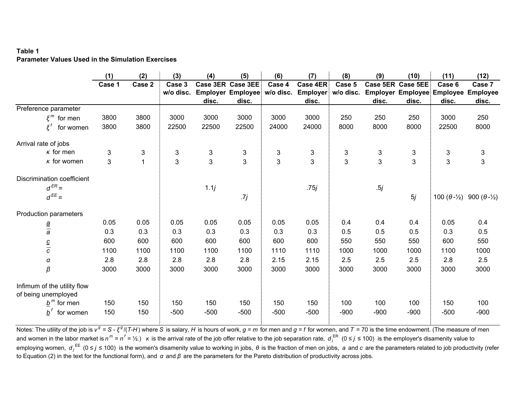### **Table 1Parameter Values Used in the Simulation Exercises**

|                                                    | (1)    | (2)          | (3)       | (4)                       | (5)                          | (6)    | (7)                 | (8)    | (9)    | (10)              | (11)                              | (12)                         |
|----------------------------------------------------|--------|--------------|-----------|---------------------------|------------------------------|--------|---------------------|--------|--------|-------------------|-----------------------------------|------------------------------|
|                                                    | Case 1 | Case 2       | Case 3    |                           | Case 3ER Case 3EE:           | Case 4 | Case 4ER:           | Case 5 |        | Case 5ER Case 5EE | Case 6                            | Case 7                       |
|                                                    |        |              | w/o disc. |                           | Employer Employee: w/o disc. |        | Employer: w/o disc. |        |        |                   | <b>Employer Employee Employee</b> | <b>Employee</b>              |
|                                                    |        |              |           | disc.                     | disc.                        |        | disc.               |        | disc.  | disc.             | disc.                             | disc.                        |
| Preference parameter                               |        |              |           |                           |                              |        |                     |        |        |                   |                                   |                              |
| $\xi^m$ for men                                    | 3800   | 3800         | 3000      | 3000                      | 3000                         | 3000   | 3000                | 250    | 250    | 250               | 3000                              | 250                          |
| $\mathbf{z}^t$<br>for women                        | 3800   | 3800         | 22500     | 22500                     | 22500                        | 24000  | 24000               | 8000   | 8000   | 8000              | 22500                             | 8000                         |
| Arrival rate of jobs                               |        |              |           |                           |                              |        |                     |        |        |                   |                                   |                              |
| $\kappa$ for men                                   | 3      | 3            | 3         | $\ensuremath{\mathsf{3}}$ | 3                            | 3      | 3                   | 3      | 3      | $\mathsf 3$       | $\mathfrak{S}$                    | 3                            |
| $\kappa$ for women                                 | 3      | $\mathbf{1}$ | 3         | $\mathfrak{S}$            | $\overline{3}$               | 3      | 3                   | 3      | 3      | 3                 | 3                                 | 3                            |
| Discrimination coefficient                         |        |              |           |                           |                              |        |                     |        |        |                   |                                   |                              |
| $d^{ER} =$                                         |        |              |           | 1.1j                      |                              |        | .75 j               |        | .5j    |                   |                                   |                              |
| $d^{EE} =$                                         |        |              |           |                           | .7j                          |        |                     |        |        | 5j                | 100 $(\theta - \frac{1}{2})$      | 900 $(\theta - \frac{1}{2})$ |
| Production parameters                              |        |              |           |                           |                              |        |                     |        |        |                   |                                   |                              |
|                                                    | 0.05   | 0.05         | 0.05      | 0.05                      | 0.05                         | 0.05   | 0.05                | 0.4    | 0.4    | 0.4               | 0.05                              | 0.4                          |
| $\frac{a}{a}$                                      | 0.3    | 0.3          | 0.3       | 0.3                       | 0.3                          | 0.3    | 0.3                 | 0.5    | 0.5    | 0.5               | 0.3                               | 0.5                          |
|                                                    | 600    | 600          | 600       | 600                       | 600                          | 600    | 600                 | 550    | 550    | 550               | 600                               | 550                          |
| $rac{c}{c}$                                        | 1100   | 1100         | 1100      | 1100                      | 1100                         | 1110   | 1110                | 1000   | 1000   | 1000              | 1100                              | 1000                         |
| α                                                  | 2.8    | 2.8          | 2.8       | 2.8                       | 2.8                          | 2.15   | 2.15                | 2.5    | 2.5    | 2.5               | 2.8                               | 2.5                          |
| β                                                  | 3000   | 3000         | 3000      | 3000                      | 3000                         | 3000   | 3000                | 3000   | 3000   | 3000              | 3000                              | 3000                         |
| Infimum of the utility flow<br>of being unemployed |        |              |           |                           |                              |        |                     |        |        |                   |                                   |                              |
| $b^m$ for men                                      | 150    | 150          | 150       | 150                       | 150                          | 150    | 150                 | 100    | 100    | 100               | 150                               | 100                          |
| $b^f$<br>for women                                 | 150    | 150          | $-500$    | $-500$                    | $-500$                       | $-500$ | $-500$              | $-900$ | $-900$ | $-900$            | $-500$                            | $-900$                       |

Notes: The utility of the job is v  $^g$  = S -  $\xi^g/(T$ -H) where S is salary, H is hours of work,  $g$  =  $m$  for men and  $g$  =  $f$  for women, and  $\mathcal{T}$  = 70 is the time endowment. (The measure of men and women in the labor market is  $n^m = n^f = \frac{1}{2}$ .)  $\kappa$  is the arrival rate of the job offer relative to the job separation rate,  $d_j^{ER}$  (0 ≤ j ≤ 100) is the employer's disamenity value to employing women,  $d_j^{EE}$  ( $0 \le j \le 100$ ) is the women's disamenity value to working in jobs,  $\theta$  is the fraction of men on jobs, a and c are the parameters related to job productivity (refer to Equation (2) in the text for the functional form), and *α* and *β* are the parameters for the Pareto distribution of productivity across jobs.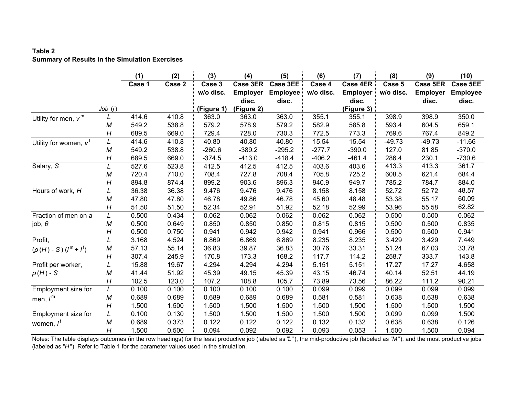### **Table 2Summary of Results in the Simulation Exercises**

|                            |        | (1)    | (2)    | (3)        | (4)             | (5)             | (6)       | (7)              | (8)       | (9)             | (10)            |
|----------------------------|--------|--------|--------|------------|-----------------|-----------------|-----------|------------------|-----------|-----------------|-----------------|
|                            |        | Case 1 | Case 2 | Case 3     | Case 3ER        | Case 3EE        | Case 4    | Case 4ER:        | Case 5    | Case 5ER        | <b>Case 5EE</b> |
|                            |        |        |        | w/o disc.  | <b>Employer</b> | <b>Employee</b> | w/o disc. | <b>Employer:</b> | w/o disc. | <b>Employer</b> | <b>Employee</b> |
|                            |        |        |        |            | disc.           | disc.           |           | disc.            |           | disc.           | disc.           |
|                            | Job(j) |        |        | (Figure 1) | (Figure 2)      |                 |           | (Figure 3)       |           |                 |                 |
| Utility for men, $v^m$     |        | 414.6  | 410.8  | 363.0      | 363.0           | 363.0           | 355.1     | 355.1            | 398.9     | 398.9           | 350.0           |
|                            | М      | 549.2  | 538.8  | 579.2      | 578.9           | 579.2           | 582.9     | 585.8            | 593.4     | 604.5           | 659.1           |
|                            | Η      | 689.5  | 669.0  | 729.4      | 728.0           | 730.3           | 772.5     | 773.3            | 769.6     | 767.4           | 849.2           |
| Utility for women, $v^f$   | L      | 414.6  | 410.8  | 40.80      | 40.80           | 40.80           | 15.54     | 15.54            | $-49.73$  | $-49.73$        | $-11.66$        |
|                            | M      | 549.2  | 538.8  | $-260.6$   | $-389.2$        | $-295.2$        | $-277.7$  | $-390.0$         | 127.0     | 81.85           | $-370.0$        |
|                            | Η      | 689.5  | 669.0  | $-374.5$   | $-413.0$        | $-418.4$        | $-406.2$  | $-461.4$         | 286.4     | 230.1           | $-730.6$        |
| Salary, S                  |        | 527.6  | 523.8  | 412.5      | 412.5           | 412.5           | 403.6     | 403.6            | 413.3     | 413.3           | 361.7           |
|                            | М      | 720.4  | 710.0  | 708.4      | 727.8           | 708.4           | 705.8     | 725.2            | 608.5     | 621.4           | 684.4           |
|                            | Η      | 894.8  | 874.4  | 899.2      | 903.6           | 896.3           | 940.9     | 949.7            | 785.2     | 784.7           | 884.0           |
| Hours of work, H           | L      | 36.38  | 36.38  | 9.476      | 9.476           | 9.476           | 8.158     | 8.158            | 52.72     | 52.72           | 48.57           |
|                            | M      | 47.80  | 47.80  | 46.78      | 49.86           | 46.78           | 45.60     | 48.48            | 53.38     | 55.17           | 60.09           |
|                            | H      | 51.50  | 51.50  | 52.34      | 52.91           | 51.92           | 52.18     | 52.99            | 53.96     | 55.58           | 62.82           |
| Fraction of men on a       | L      | 0.500  | 0.434  | 0.062      | 0.062           | 0.062           | 0.062     | 0.062            | 0.500     | 0.500           | 0.062           |
| job, $\theta$              | М      | 0.500  | 0.649  | 0.850      | 0.850           | 0.850           | 0.815     | 0.815            | 0.500     | 0.500           | 0.835           |
|                            | H      | 0.500  | 0.750  | 0.941      | 0.942           | 0.942           | 0.941     | 0.966            | 0.500     | 0.500           | 0.941           |
| Profit,                    | L      | 3.168  | 4.524  | 6.869      | 6.869           | 6.869           | 8.235     | 8.235            | 3.429     | 3.429           | 7.449           |
| $(\rho(H) - S)(I^m + I^f)$ | M      | 57.13  | 55.14  | 36.83      | 39.87           | 36.83           | 30.76     | 33.31            | 51.24     | 67.03           | 33.78           |
|                            | H      | 307.4  | 245.9  | 170.8      | 173.3           | 168.2           | 117.7     | 114.2            | 258.7     | 333.7           | 143.8           |
| Profit per worker,         |        | 15.88  | 19.67  | 4.294      | 4.294           | 4.294           | 5.151     | 5.151            | 17.27     | 17.27           | 4.658           |
| $\rho(H)$ - S              | М      | 41.44  | 51.92  | 45.39      | 49.15           | 45.39           | 43.15     | 46.74            | 40.14     | 52.51           | 44.19           |
|                            | H      | 102.5  | 123.0  | 107.2      | 108.8           | 105.7           | 73.89     | 73.56            | 86.22     | 111.2           | 90.21           |
| Employment size for        | L      | 0.100  | 0.100  | 0.100      | 0.100           | 0.100           | 0.099     | 0.099            | 0.099     | 0.099           | 0.099           |
| men, $I^m$                 | M      | 0.689  | 0.689  | 0.689      | 0.689           | 0.689           | 0.581     | 0.581            | 0.638     | 0.638           | 0.638           |
|                            | H      | 1.500  | 1.500  | 1.500      | 1.500           | 1.500           | 1.500     | 1.500            | 1.500     | 1.500           | 1.500           |
| Employment size for        | L      | 0.100  | 0.130  | 1.500      | 1.500           | 1.500           | 1.500     | 1.500            | 0.099     | 0.099           | 1.500           |
| women, $I^{\dagger}$       | М      | 0.689  | 0.373  | 0.122      | 0.122           | 0.122           | 0.132     | 0.132            | 0.638     | 0.638           | 0.126           |
|                            | H      | 1.500  | 0.500  | 0.094      | 0.092           | 0.092           | 0.093     | 0.053            | 1.500     | 1.500           | 0.094           |

Notes: The table displays outcomes (in the row headings) for the least productive job (labeled as "*L* "), the mid-productive job (labeled as "*M* "), and the most productive jobs (labeled as "*H* "). Refer to Table 1 for the parameter values used in the simulation.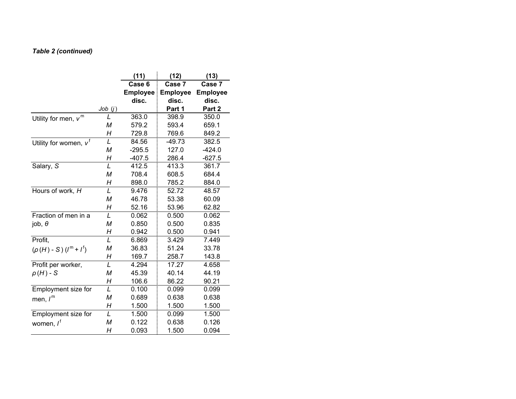### *Table 2 (continued)*

|                                  |        | (11)            | (12)            | (13)            |
|----------------------------------|--------|-----------------|-----------------|-----------------|
|                                  |        | Case 6          | Case 7          | Case 7          |
|                                  |        | <b>Employee</b> | <b>Employee</b> | <b>Employee</b> |
|                                  |        | disc.           | disc.           | disc.           |
|                                  | Job(j) |                 | Part 1          | Part 2          |
| Utility for men, $v^m$           | L      | 363.0           | 398.9           | 350.0           |
|                                  | М      | 579.2           | 593.4           | 659.1           |
|                                  | Η      | 729.8           | 769.6           | 849.2           |
| Utility for women, $v^{\dagger}$ | L      | 84.56           | $-49.73$        | 382.5           |
|                                  | M      | $-295.5$        | 127.0           | $-424.0$        |
|                                  | Η      | $-407.5$        | 286.4           | $-627.5$        |
| Salary, S                        | L      | 412.5           | 413.3           | 361.7           |
|                                  | M      | 708.4           | 608.5           | 684.4           |
|                                  | Н      | 898.0           | 785.2           | 884.0           |
| Hours of work, H                 | L      | 9.476           | 52.72           | 48.57           |
|                                  | M      | 46.78           | 53.38           | 60.09           |
|                                  | Η      | 52.16           | 53.96           | 62.82           |
| Fraction of men in a             | L      | 0.062           | 0.500           | 0.062           |
| job, $\theta$                    | M      | 0.850           | 0.500           | 0.835           |
|                                  | Н      | 0.942           | 0.500           | 0.941           |
| Profit,                          | L      | 6.869           | 3.429           | 7.449           |
| $(\rho(H)-S)(I^m+I^f)$           | М      | 36.83           | 51.24           | 33.78           |
|                                  | Н      | 169.7           | 258.7           | 143.8           |
| Profit per worker,               | L      | 4.294           | 17.27           | 4.658           |
| $\rho(H)$ - S                    | M      | 45.39           | 40.14           | 44.19           |
|                                  | Н      | 106.6           | 86.22           | 90.21           |
| Employment size for              | L      | 0.100           | 0.099           | 0.099           |
| men, $I^m$                       | M      | 0.689           | 0.638           | 0.638           |
|                                  | Н      | 1.500           | 1.500           | 1.500           |
| Employment size for              | L      | 1.500           | 0.099           | 1.500           |
| women, l <sup>f</sup>            | M      | 0.122           | 0.638           | 0.126           |
|                                  | Н      | 0.093           | 1.500           | 0.094           |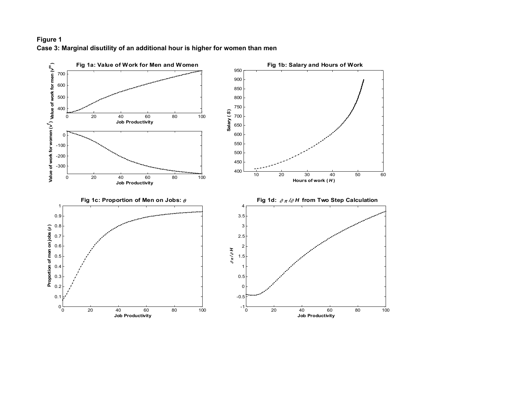### **Figure 1 Case 3: Marginal disutility of an additional hour is higher for women than men**

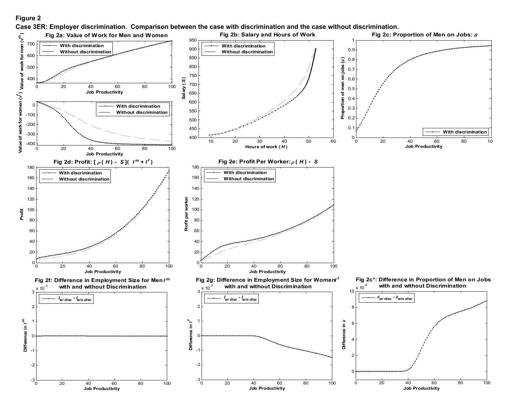#### **Figure 2**

 **Job Productivity**

**Case 3ER: Employer discrimination. Comparison between the case with discrimination and the case without discrimination.**



 **Job Productivity**

 **Job Productivity**